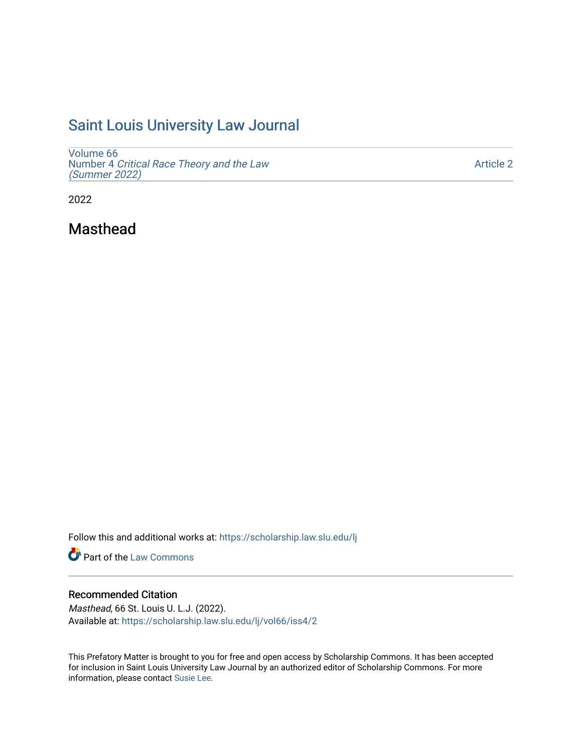# [Saint Louis University Law Journal](https://scholarship.law.slu.edu/lj)

[Volume 66](https://scholarship.law.slu.edu/lj/vol66) Number 4 [Critical Race Theory and the Law](https://scholarship.law.slu.edu/lj/vol66/iss4)  [\(Summer 2022\)](https://scholarship.law.slu.edu/lj/vol66/iss4)

[Article 2](https://scholarship.law.slu.edu/lj/vol66/iss4/2) 

2022

Masthead

Follow this and additional works at: [https://scholarship.law.slu.edu/lj](https://scholarship.law.slu.edu/lj?utm_source=scholarship.law.slu.edu%2Flj%2Fvol66%2Fiss4%2F2&utm_medium=PDF&utm_campaign=PDFCoverPages) 

Part of the [Law Commons](https://network.bepress.com/hgg/discipline/578?utm_source=scholarship.law.slu.edu%2Flj%2Fvol66%2Fiss4%2F2&utm_medium=PDF&utm_campaign=PDFCoverPages)

## Recommended Citation

Masthead, 66 St. Louis U. L.J. (2022). Available at: [https://scholarship.law.slu.edu/lj/vol66/iss4/2](https://scholarship.law.slu.edu/lj/vol66/iss4/2?utm_source=scholarship.law.slu.edu%2Flj%2Fvol66%2Fiss4%2F2&utm_medium=PDF&utm_campaign=PDFCoverPages) 

This Prefatory Matter is brought to you for free and open access by Scholarship Commons. It has been accepted for inclusion in Saint Louis University Law Journal by an authorized editor of Scholarship Commons. For more information, please contact [Susie Lee](mailto:susie.lee@slu.edu).